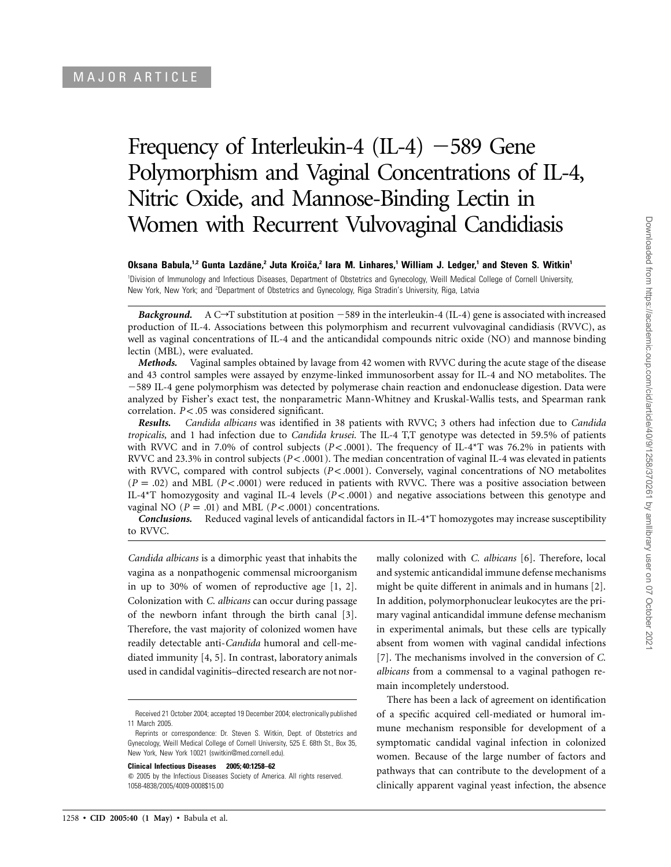# Frequency of Interleukin-4  $(II-4)$  -589 Gene Polymorphism and Vaginal Concentrations of IL-4, Nitric Oxide, and Mannose-Binding Lectin in Women with Recurrent Vulvovaginal Candidiasis

## **Oksana Babula,1,2 Gunta Lazda¯ne,2 Juta Kroicˇa,2 Iara M. Linhares,1 William J. Ledger,1 and Steven S. Witkin1**

1 Division of Immunology and Infectious Diseases, Department of Obstetrics and Gynecology, Weill Medical College of Cornell University, New York, New York; and <sup>2</sup>Department of Obstetrics and Gynecology, Riga Stradin's University, Riga, Latvia

*Background.* A C $\rightarrow$ T substitution at position  $-589$  in the interleukin-4 (IL-4) gene is associated with increased production of IL-4. Associations between this polymorphism and recurrent vulvovaginal candidiasis (RVVC), as well as vaginal concentrations of IL-4 and the anticandidal compounds nitric oxide (NO) and mannose binding lectin (MBL), were evaluated.

*Methods.* Vaginal samples obtained by lavage from 42 women with RVVC during the acute stage of the disease and 43 control samples were assayed by enzyme-linked immunosorbent assay for IL-4 and NO metabolites. The 589 IL-4 gene polymorphism was detected by polymerase chain reaction and endonuclease digestion. Data were analyzed by Fisher's exact test, the nonparametric Mann-Whitney and Kruskal-Wallis tests, and Spearman rank correlation.  $P < .05$  was considered significant.

*Results. Candida albicans* was identified in 38 patients with RVVC; 3 others had infection due to *Candida tropicalis,* and 1 had infection due to *Candida krusei.* The IL-4 T,T genotype was detected in 59.5% of patients with RVVC and in 7.0% of control subjects ( $P < .0001$ ). The frequency of IL-4<sup>\*</sup>T was 76.2% in patients with RVVC and 23.3% in control subjects  $(P< .0001)$ . The median concentration of vaginal IL-4 was elevated in patients with RVVC, compared with control subjects ( $P < .0001$ ). Conversely, vaginal concentrations of NO metabolites  $(P = .02)$  and MBL ( $P < .0001$ ) were reduced in patients with RVVC. There was a positive association between IL-4<sup>\*</sup>T homozygosity and vaginal IL-4 levels ( $P < .0001$ ) and negative associations between this genotype and vaginal NO ( $P = .01$ ) and MBL ( $P < .0001$ ) concentrations.

*Conclusions.* Reduced vaginal levels of anticandidal factors in IL-4\*T homozygotes may increase susceptibility to RVVC.

*Candida albicans* is a dimorphic yeast that inhabits the vagina as a nonpathogenic commensal microorganism in up to 30% of women of reproductive age [1, 2]. Colonization with *C. albicans* can occur during passage of the newborn infant through the birth canal [3]. Therefore, the vast majority of colonized women have readily detectable anti-*Candida* humoral and cell-mediated immunity [4, 5]. In contrast, laboratory animals used in candidal vaginitis–directed research are not nor-

**Clinical Infectious Diseases 2005; 40:1258–62**

mally colonized with *C. albicans* [6]. Therefore, local and systemic anticandidal immune defense mechanisms might be quite different in animals and in humans [2]. In addition, polymorphonuclear leukocytes are the primary vaginal anticandidal immune defense mechanism in experimental animals, but these cells are typically absent from women with vaginal candidal infections [7]. The mechanisms involved in the conversion of *C. albicans* from a commensal to a vaginal pathogen remain incompletely understood.

There has been a lack of agreement on identification of a specific acquired cell-mediated or humoral immune mechanism responsible for development of a symptomatic candidal vaginal infection in colonized women. Because of the large number of factors and pathways that can contribute to the development of a clinically apparent vaginal yeast infection, the absence

Received 21 October 2004; accepted 19 December 2004; electronically published 11 March 2005.

Reprints or correspondence: Dr. Steven S. Witkin, Dept. of Obstetrics and Gynecology, Weill Medical College of Cornell University, 525 E. 68th St., Box 35, New York, New York 10021 (switkin@med.cornell.edu).

 $\odot$  2005 by the Infectious Diseases Society of America. All rights reserved. 1058-4838/2005/4009-0008\$15.00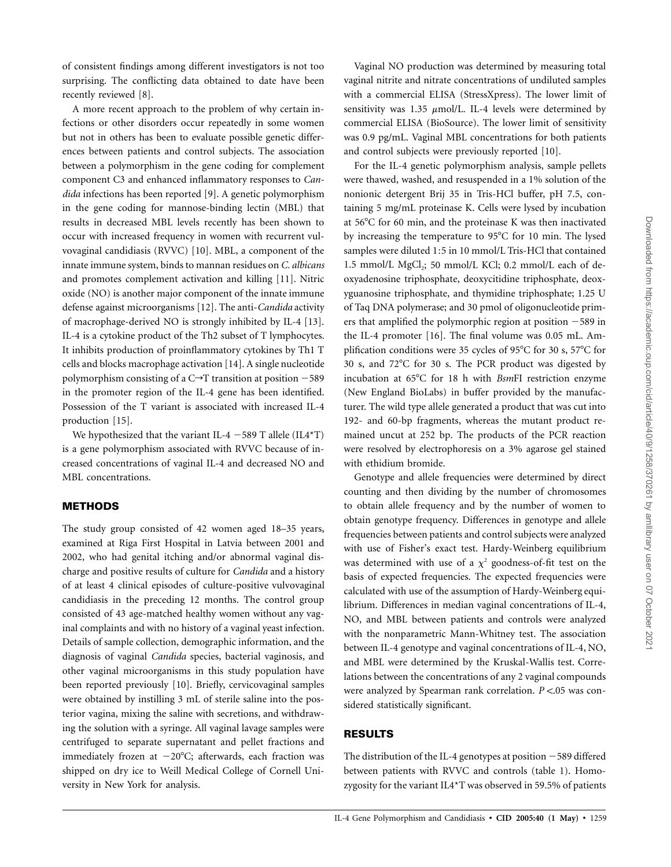of consistent findings among different investigators is not too surprising. The conflicting data obtained to date have been recently reviewed [8].

A more recent approach to the problem of why certain infections or other disorders occur repeatedly in some women but not in others has been to evaluate possible genetic differences between patients and control subjects. The association between a polymorphism in the gene coding for complement component C3 and enhanced inflammatory responses to *Candida* infections has been reported [9]. A genetic polymorphism in the gene coding for mannose-binding lectin (MBL) that results in decreased MBL levels recently has been shown to occur with increased frequency in women with recurrent vulvovaginal candidiasis (RVVC) [10]. MBL, a component of the innate immune system, binds to mannan residues on *C. albicans* and promotes complement activation and killing [11]. Nitric oxide (NO) is another major component of the innate immune defense against microorganisms [12]. The anti-*Candida* activity of macrophage-derived NO is strongly inhibited by IL-4 [13]. IL-4 is a cytokine product of the Th2 subset of T lymphocytes. It inhibits production of proinflammatory cytokines by Th1 T cells and blocks macrophage activation [14]. A single nucleotide polymorphism consisting of a  $C \rightarrow T$  transition at position  $-589$ in the promoter region of the IL-4 gene has been identified. Possession of the T variant is associated with increased IL-4 production [15].

We hypothesized that the variant IL-4  $-589$  T allele (IL4\*T) is a gene polymorphism associated with RVVC because of increased concentrations of vaginal IL-4 and decreased NO and MBL concentrations.

## **METHODS**

The study group consisted of 42 women aged 18–35 years, examined at Riga First Hospital in Latvia between 2001 and 2002, who had genital itching and/or abnormal vaginal discharge and positive results of culture for *Candida* and a history of at least 4 clinical episodes of culture-positive vulvovaginal candidiasis in the preceding 12 months. The control group consisted of 43 age-matched healthy women without any vaginal complaints and with no history of a vaginal yeast infection. Details of sample collection, demographic information, and the diagnosis of vaginal *Candida* species, bacterial vaginosis, and other vaginal microorganisms in this study population have been reported previously [10]. Briefly, cervicovaginal samples were obtained by instilling 3 mL of sterile saline into the posterior vagina, mixing the saline with secretions, and withdrawing the solution with a syringe. All vaginal lavage samples were centrifuged to separate supernatant and pellet fractions and immediately frozen at  $-20^{\circ}$ C; afterwards, each fraction was shipped on dry ice to Weill Medical College of Cornell University in New York for analysis.

Vaginal NO production was determined by measuring total vaginal nitrite and nitrate concentrations of undiluted samples with a commercial ELISA (StressXpress). The lower limit of sensitivity was 1.35  $\mu$ mol/L. IL-4 levels were determined by commercial ELISA (BioSource). The lower limit of sensitivity was 0.9 pg/mL. Vaginal MBL concentrations for both patients and control subjects were previously reported [10].

For the IL-4 genetic polymorphism analysis, sample pellets were thawed, washed, and resuspended in a 1% solution of the nonionic detergent Brij 35 in Tris-HCl buffer, pH 7.5, containing 5 mg/mL proteinase K. Cells were lysed by incubation at  $56^{\circ}$ C for 60 min, and the proteinase K was then inactivated by increasing the temperature to 95<sup>o</sup>C for 10 min. The lysed samples were diluted 1:5 in 10 mmol/L Tris-HCl that contained 1.5 mmol/L MgCl<sub>2</sub>; 50 mmol/L KCl; 0.2 mmol/L each of deoxyadenosine triphosphate, deoxycitidine triphosphate, deoxyguanosine triphosphate, and thymidine triphosphate; 1.25 U of Taq DNA polymerase; and 30 pmol of oligonucleotide primers that amplified the polymorphic region at position  $-589$  in the IL-4 promoter [16]. The final volume was 0.05 mL. Amplification conditions were 35 cycles of 95°C for 30 s, 57°C for 30 s, and 72C for 30 s. The PCR product was digested by incubation at 65C for 18 h with *Bsm*FI restriction enzyme (New England BioLabs) in buffer provided by the manufacturer. The wild type allele generated a product that was cut into 192- and 60-bp fragments, whereas the mutant product remained uncut at 252 bp. The products of the PCR reaction were resolved by electrophoresis on a 3% agarose gel stained with ethidium bromide.

Genotype and allele frequencies were determined by direct counting and then dividing by the number of chromosomes to obtain allele frequency and by the number of women to obtain genotype frequency. Differences in genotype and allele frequencies between patients and control subjects were analyzed with use of Fisher's exact test. Hardy-Weinberg equilibrium was determined with use of a  $\chi^2$  goodness-of-fit test on the basis of expected frequencies. The expected frequencies were calculated with use of the assumption of Hardy-Weinberg equilibrium. Differences in median vaginal concentrations of IL-4, NO, and MBL between patients and controls were analyzed with the nonparametric Mann-Whitney test. The association between IL-4 genotype and vaginal concentrations of IL-4, NO, and MBL were determined by the Kruskal-Wallis test. Correlations between the concentrations of any 2 vaginal compounds were analyzed by Spearman rank correlation. *P* <.05 was considered statistically significant.

#### **RESULTS**

The distribution of the IL-4 genotypes at position  $-589$  differed between patients with RVVC and controls (table 1). Homozygosity for the variant IL4\*T was observed in 59.5% of patients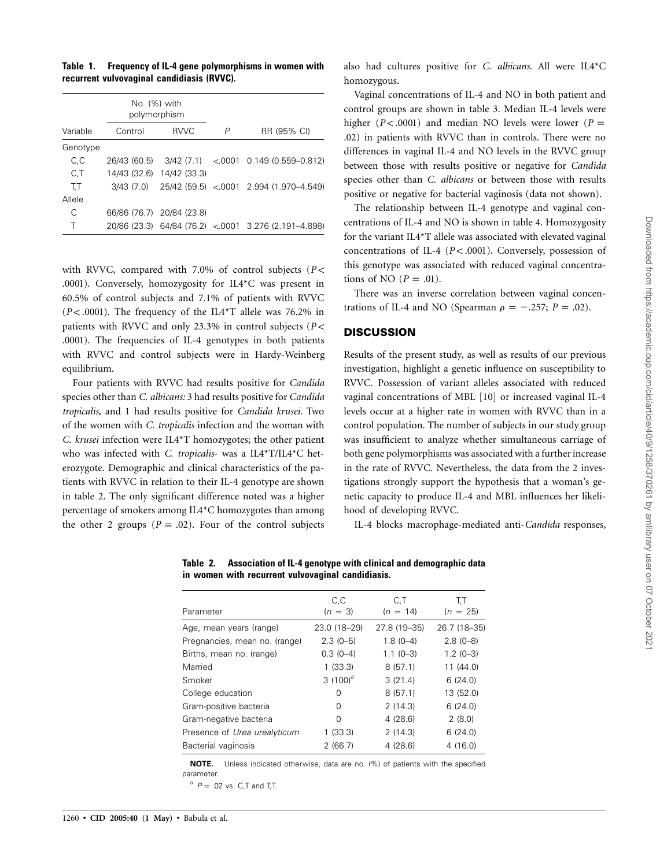**Table 1. Frequency of IL-4 gene polymorphisms in women with recurrent vulvovaginal candidiasis (RVVC).**

|          | No. (%) with<br>polymorphism |                           |   |                                                      |
|----------|------------------------------|---------------------------|---|------------------------------------------------------|
| Variable | Control                      | <b>RVVC</b>               | P | RR (95% CI)                                          |
| Genotype |                              |                           |   |                                                      |
| C, C     |                              |                           |   | 26/43 (60.5) 3/42 (7.1) < 0001 0.149 (0.559-0.812)   |
| C, T     |                              | 14/43 (32.6) 14/42 (33.3) |   |                                                      |
| T.T      | 3/43 (7.0)                   |                           |   | 25/42 (59.5) < 0001 2.994 (1.970-4.549)              |
| Allele   |                              |                           |   |                                                      |
| С        |                              | 66/86 (76.7) 20/84 (23.8) |   |                                                      |
|          |                              |                           |   | 20/86 (23.3) 64/84 (76.2) < 0001 3.276 (2.191-4.898) |

with RVVC, compared with 7.0% of control subjects ( $P$  < .0001). Conversely, homozygosity for IL4\*C was present in 60.5% of control subjects and 7.1% of patients with RVVC  $(P<.0001)$ . The frequency of the IL4<sup>\*</sup>T allele was 76.2% in patients with RVVC and only 23.3% in control subjects (*P* < .0001). The frequencies of IL-4 genotypes in both patients with RVVC and control subjects were in Hardy-Weinberg equilibrium.

Four patients with RVVC had results positive for *Candida* species other than *C. albicans:* 3 had results positive for *Candida tropicalis,* and 1 had results positive for *Candida krusei.* Two of the women with *C. tropicalis* infection and the woman with *C. krusei* infection were IL4\*T homozygotes; the other patient who was infected with *C. tropicalis*- was a IL4\*T/IL4\*C heterozygote. Demographic and clinical characteristics of the patients with RVVC in relation to their IL-4 genotype are shown in table 2. The only significant difference noted was a higher percentage of smokers among IL4\*C homozygotes than among the other 2 groups ( $P = .02$ ). Four of the control subjects

also had cultures positive for *C. albicans.* All were IL4\*C homozygous.

Vaginal concentrations of IL-4 and NO in both patient and control groups are shown in table 3. Median IL-4 levels were higher ( $P < .0001$ ) and median NO levels were lower ( $P =$ .02) in patients with RVVC than in controls. There were no differences in vaginal IL-4 and NO levels in the RVVC group between those with results positive or negative for *Candida* species other than *C. albicans* or between those with results positive or negative for bacterial vaginosis (data not shown).

The relationship between IL-4 genotype and vaginal concentrations of IL-4 and NO is shown in table 4. Homozygosity for the variant IL4\*T allele was associated with elevated vaginal concentrations of IL-4 ( $P < .0001$ ). Conversely, possession of this genotype was associated with reduced vaginal concentrations of NO  $(P = .01)$ .

There was an inverse correlation between vaginal concentrations of IL-4 and NO (Spearman  $\rho = -.257; P = .02$ ).

### **DISCUSSION**

Results of the present study, as well as results of our previous investigation, highlight a genetic influence on susceptibility to RVVC. Possession of variant alleles associated with reduced vaginal concentrations of MBL [10] or increased vaginal IL-4 levels occur at a higher rate in women with RVVC than in a control population. The number of subjects in our study group was insufficient to analyze whether simultaneous carriage of both gene polymorphisms was associated with a further increase in the rate of RVVC. Nevertheless, the data from the 2 investigations strongly support the hypothesis that a woman's genetic capacity to produce IL-4 and MBL influences her likelihood of developing RVVC.

IL-4 blocks macrophage-mediated anti-*Candida* responses,

| C,C          | C, T           | T,T          |
|--------------|----------------|--------------|
| $(n = 3)$    | $(n = 14)$     | $(n = 25)$   |
| 23.0 (18-29) | 27.8 (19 - 35) | 26.7 (18-35) |
| $2.3(0-5)$   | $1.8(0-4)$     | $2.8(0-8)$   |
| $0.3(0-4)$   | $1.1(0-3)$     | $1.2(0-3)$   |
| 1(33.3)      | 8(57.1)        | 11(44.0)     |
| $3(100)^a$   | 3(21.4)        | 6(24.0)      |
| 0            | 8(57.1)        | 13 (52.0)    |
| 0            | 2(14.3)        | 6(24.0)      |
| 0            | 4(28.6)        | 2(8.0)       |
| 1(33.3)      | 2(14.3)        | 6(24.0)      |
| 2(66.7)      | 4(28.6)        | 4(16.0)      |
|              |                |              |

**Table 2. Association of IL-4 genotype with clinical and demographic data in women with recurrent vulvovaginal candidiasis.**

**NOTE.** Unless indicated otherwise, data are no. (%) of patients with the specified parameter.

 $P = .02$  vs. C,T and T,T.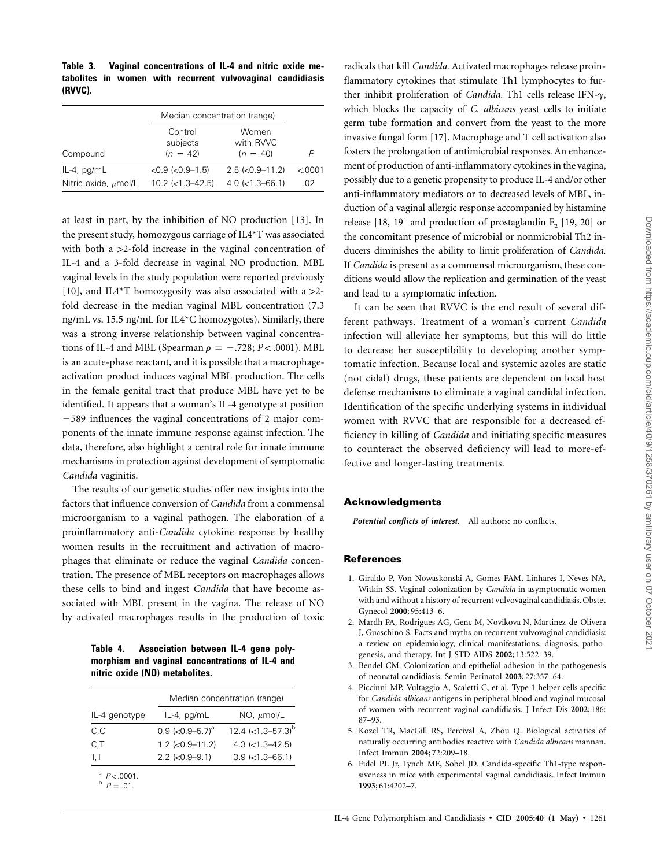|                                                | Median concentration (range)                       |                                                |                 |  |
|------------------------------------------------|----------------------------------------------------|------------------------------------------------|-----------------|--|
| Compound                                       | Control<br>subjects<br>$(n = 42)$                  | Women<br>with RVVC<br>$(n = 40)$               |                 |  |
| $IL-4$ , pg/m $L$<br>Nitric oxide, $\mu$ mol/L | $<0.9$ ( $< 0.9 - 1.5$ )<br>$10.2$ ( $<$ 1.3–42.5) | $2.5$ ( $<$ 0.9-11.2)<br>$4.0$ ( $<$ 1.3–66.1) | < 0.0001<br>.02 |  |

at least in part, by the inhibition of NO production [13]. In the present study, homozygous carriage of IL4\*T was associated with both a  $>2$ -fold increase in the vaginal concentration of IL-4 and a 3-fold decrease in vaginal NO production. MBL vaginal levels in the study population were reported previously [10], and IL4\*T homozygosity was also associated with a  $>2$ fold decrease in the median vaginal MBL concentration (7.3 ng/mL vs. 15.5 ng/mL for IL4\*C homozygotes). Similarly, there was a strong inverse relationship between vaginal concentrations of IL-4 and MBL (Spearman  $\rho = -.728$ ;  $P < .0001$ ). MBL is an acute-phase reactant, and it is possible that a macrophageactivation product induces vaginal MBL production. The cells in the female genital tract that produce MBL have yet to be identified. It appears that a woman's IL-4 genotype at position 589 influences the vaginal concentrations of 2 major components of the innate immune response against infection. The data, therefore, also highlight a central role for innate immune mechanisms in protection against development of symptomatic *Candida* vaginitis.

The results of our genetic studies offer new insights into the factors that influence conversion of *Candida* from a commensal microorganism to a vaginal pathogen. The elaboration of a proinflammatory anti-*Candida* cytokine response by healthy women results in the recruitment and activation of macrophages that eliminate or reduce the vaginal *Candida* concentration. The presence of MBL receptors on macrophages allows these cells to bind and ingest *Candida* that have become associated with MBL present in the vagina. The release of NO by activated macrophages results in the production of toxic

**Table 4. Association between IL-4 gene polymorphism and vaginal concentrations of IL-4 and nitric oxide (NO) metabolites.**

|                              |                                     | Median concentration (range) |  |  |
|------------------------------|-------------------------------------|------------------------------|--|--|
| IL-4 genotype                | IL-4, pg/mL                         | $NO, \mu mol/L$              |  |  |
| C,C                          | $0.9$ (< $0.9 - 5.7$ ) <sup>a</sup> | 12.4 $(<1.3 - 57.3)^{b}$     |  |  |
| C,T                          | $1.2$ ( $<$ 0.9-11.2)               | $4.3$ ( $<$ 1.3–42.5)        |  |  |
| T.T                          | $2.2$ (<0.9-9.1)                    | $3.9$ ( $<$ 1.3-66.1)        |  |  |
| $P < .0001$ .<br>$P = .01$ . |                                     |                              |  |  |

radicals that kill *Candida.* Activated macrophages release proinflammatory cytokines that stimulate Th1 lymphocytes to further inhibit proliferation of *Candida*. Th1 cells release IFN- $\gamma$ , which blocks the capacity of *C. albicans* yeast cells to initiate germ tube formation and convert from the yeast to the more invasive fungal form [17]. Macrophage and T cell activation also fosters the prolongation of antimicrobial responses. An enhancement of production of anti-inflammatory cytokines in the vagina, possibly due to a genetic propensity to produce IL-4 and/or other anti-inflammatory mediators or to decreased levels of MBL, induction of a vaginal allergic response accompanied by histamine release  $[18, 19]$  and production of prostaglandin E<sub>2</sub>  $[19, 20]$  or the concomitant presence of microbial or nonmicrobial Th2 inducers diminishes the ability to limit proliferation of *Candida.* If *Candida* is present as a commensal microorganism, these conditions would allow the replication and germination of the yeast and lead to a symptomatic infection.

It can be seen that RVVC is the end result of several different pathways. Treatment of a woman's current *Candida* infection will alleviate her symptoms, but this will do little to decrease her susceptibility to developing another symptomatic infection. Because local and systemic azoles are static (not cidal) drugs, these patients are dependent on local host defense mechanisms to eliminate a vaginal candidal infection. Identification of the specific underlying systems in individual women with RVVC that are responsible for a decreased efficiency in killing of *Candida* and initiating specific measures to counteract the observed deficiency will lead to more-effective and longer-lasting treatments.

## **Acknowledgments**

*Potential conflicts of interest.* All authors: no conflicts.

#### **References**

- 1. Giraldo P, Von Nowaskonski A, Gomes FAM, Linhares I, Neves NA, Witkin SS. Vaginal colonization by *Candida* in asymptomatic women with and without a history of recurrent vulvovaginal candidiasis. Obstet Gynecol **2000**; 95:413–6.
- 2. Mardh PA, Rodrigues AG, Genc M, Novikova N, Martinez-de-Olivera J, Guaschino S. Facts and myths on recurrent vulvovaginal candidiasis: a review on epidemiology, clinical manifestations, diagnosis, pathogenesis, and therapy. Int J STD AIDS **2002**; 13:522–39.
- 3. Bendel CM. Colonization and epithelial adhesion in the pathogenesis of neonatal candidiasis. Semin Perinatol **2003**; 27:357–64.
- 4. Piccinni MP, Vultaggio A, Scaletti C, et al. Type 1 helper cells specific for *Candida albicans* antigens in peripheral blood and vaginal mucosal of women with recurrent vaginal candidiasis. J Infect Dis **2002**; 186: 87–93.
- 5. Kozel TR, MacGill RS, Percival A, Zhou Q. Biological activities of naturally occurring antibodies reactive with *Candida albicans* mannan. Infect Immun **2004**; 72:209–18.
- 6. Fidel PL Jr, Lynch ME, Sobel JD. Candida-specific Th1-type responsiveness in mice with experimental vaginal candidiasis. Infect Immun **1993**; 61:4202–7.